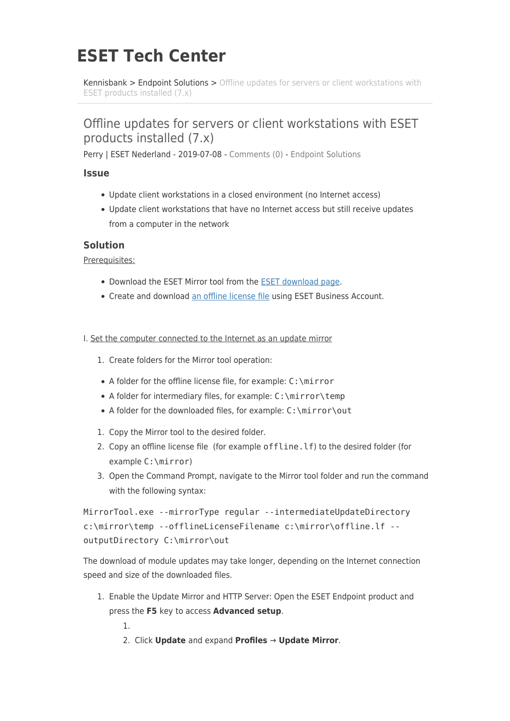# **ESET Tech Center**

[Kennisbank](https://techcenter.eset.nl/nl/kb) > [Endpoint Solutions](https://techcenter.eset.nl/nl/kb/endpoint-solutions) > [Offline updates for servers or client workstations with](https://techcenter.eset.nl/nl/kb/articles/offline-updates-for-servers-or-client-workstations-with-eset-products-installed-7-x) [ESET products installed \(7.x\)](https://techcenter.eset.nl/nl/kb/articles/offline-updates-for-servers-or-client-workstations-with-eset-products-installed-7-x)

# Offline updates for servers or client workstations with ESET products installed (7.x)

Perry | ESET Nederland - 2019-07-08 - [Comments \(0\)](#page--1-0) - [Endpoint Solutions](https://techcenter.eset.nl/nl/kb/endpoint-solutions)

# **Issue**

- Update client workstations in a closed environment (no Internet access)
- Update client workstations that have no Internet access but still receive updates from a computer in the network

# **Solution**

Prerequisites:

- Download the ESET Mirror tool from the [ESET download page.](https://www.eset.com/int/business/security-management-center/download/#standalone)
- Create and download [an offline license file](https://help.eset.com/eba/en-US/downloading-offline_legacy-licenses.html) using ESET Business Account.
- I. Set the computer connected to the Internet as an update mirror
	- 1. Create folders for the Mirror tool operation:
	- A folder for the offline license file, for example: C: \mirror
	- A folder for intermediary files, for example: C: \mirror\temp
	- A folder for the downloaded files, for example: C:\mirror\out
	- 1. Copy the Mirror tool to the desired folder.
	- 2. Copy an offline license file (for example offline.lf) to the desired folder (for example C:\mirror)
	- 3. Open the Command Prompt, navigate to the Mirror tool folder and run the command with the following syntax:

```
MirrorTool.exe --mirrorType regular --intermediateUpdateDirectory
c:\mirror\temp --offlineLicenseFilename c:\mirror\offline.lf --
outputDirectory C:\mirror\out
```
The download of module updates may take longer, depending on the Internet connection speed and size of the downloaded files.

1. Enable the Update Mirror and HTTP Server: Open the ESET Endpoint product and press the **F5** key to access **Advanced setup**.

1.

2. Click **Update** and expand **Profiles** → **Update Mirror**.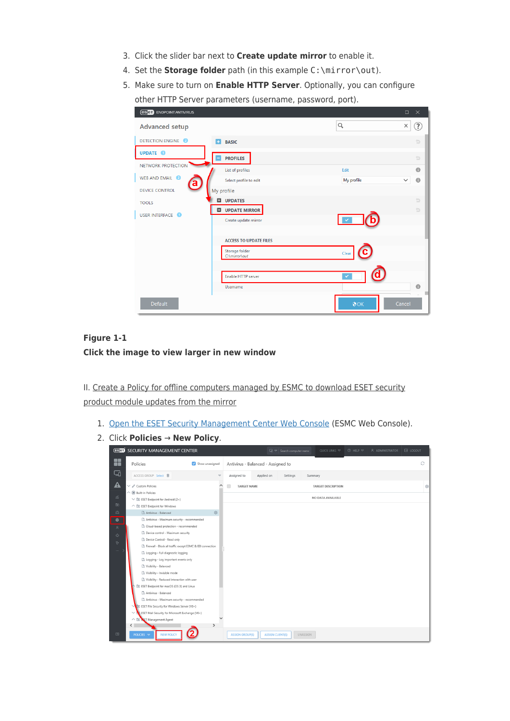- 3. Click the slider bar next to **Create update mirror** to enable it.
- 4. Set the **Storage folder** path (in this example C:\mirror\out).
- 5. Make sure to turn on **Enable HTTP Server**. Optionally, you can configure other HTTP Server parameters (username, password, port).

| <b>(eser) ENDPOINT ANTIVIRUS</b>           |                                              | $\Box$<br>$\mathsf{X}$                  |
|--------------------------------------------|----------------------------------------------|-----------------------------------------|
| <b>Advanced setup</b>                      |                                              | $\alpha$<br>?<br>X                      |
| <b>DETECTION ENGINE 2</b>                  | E.<br><b>BASIC</b>                           | b                                       |
| <b>UPDATE O</b>                            | <b>PROFILES</b><br>н                         | b                                       |
| NETWORK PROTECTION                         | List of profiles                             | $\bullet$<br>Edit                       |
| WEB AND EMAIL 2<br>$\overline{\mathbf{a}}$ | Select profile to edit                       | $\bullet$<br>$\checkmark$<br>My profile |
| <b>DEVICE CONTROL</b>                      | My profile                                   |                                         |
| <b>TOOLS</b>                               | <b>Q</b> UPDATES                             | b                                       |
| USER INTERFACE O                           | <b>UPDATE MIRROR</b><br>Create update mirror | $\Rightarrow$                           |
|                                            |                                              |                                         |
|                                            | <b>ACCESS TO UPDATE FILES</b>                |                                         |
|                                            | Storage folder<br>C:\mirror\out              | Clear                                   |
|                                            |                                              |                                         |
|                                            | Enable HTTP server                           | $\checkmark$                            |
|                                            | Username                                     | $\bullet$<br>ш                          |
| <b>Default</b>                             |                                              | QOK<br>Cancel                           |

# **Figure 1-1 Click the image to view larger in new window**

II. Create a Policy for offline computers managed by ESMC to download ESET security product module updates from the mirror

- 1. [Open the ESET Security Management Center Web Console](https://support.eset.com/kb6736/) (ESMC Web Console).
- 2. Click **Policies** → **New Policy**.

| (eser) SECURITY MANAGEMENT CENTER                                                                                                                                                                                                                                                                                                                                                                                                                                                                                                                                                                                                                                                                                                                                                                             |                    |                                    |                         | $\Box$ $\triangledown$ Search computer name |                 | QUICK LINKS $\triangledown$                    | $@$ HELP $~\nabla$ | A ADMINISTRATOR | B LOGOUT |
|---------------------------------------------------------------------------------------------------------------------------------------------------------------------------------------------------------------------------------------------------------------------------------------------------------------------------------------------------------------------------------------------------------------------------------------------------------------------------------------------------------------------------------------------------------------------------------------------------------------------------------------------------------------------------------------------------------------------------------------------------------------------------------------------------------------|--------------------|------------------------------------|-------------------------|---------------------------------------------|-----------------|------------------------------------------------|--------------------|-----------------|----------|
| H<br>Policies<br>Show unassigned                                                                                                                                                                                                                                                                                                                                                                                                                                                                                                                                                                                                                                                                                                                                                                              |                    | Antivirus - Balanced - Assigned to |                         |                                             |                 |                                                |                    |                 | O        |
| ⊡<br>ACCESS GROUP Select <b>自</b>                                                                                                                                                                                                                                                                                                                                                                                                                                                                                                                                                                                                                                                                                                                                                                             | $\bigtriangledown$ | Assigned to                        | Applied on              | Settings                                    | Summary         |                                                |                    |                 |          |
| ◭<br>$\vee$ $\varnothing$ Custom Policies<br>$\wedge$ (e) Built-in Policies<br>盗<br>$\vee$ [o] ESET Endpoint for Android (2+)                                                                                                                                                                                                                                                                                                                                                                                                                                                                                                                                                                                                                                                                                 |                    | <b>TARGET NAME</b>                 |                         |                                             |                 | <b>TARGET DESCRIPTION</b><br>NO DATA AVAILABLE |                    |                 | <b>O</b> |
| $\boxed{\boxdot}$<br>∧ ිම ESET Endpoint for Windows                                                                                                                                                                                                                                                                                                                                                                                                                                                                                                                                                                                                                                                                                                                                                           |                    |                                    |                         |                                             |                 |                                                |                    |                 |          |
| $\ddot{\ominus}$<br>O.<br>Co Antivirus - Balanced                                                                                                                                                                                                                                                                                                                                                                                                                                                                                                                                                                                                                                                                                                                                                             |                    |                                    |                         |                                             |                 |                                                |                    |                 |          |
| $\circledcirc$<br>Co Antivirus - Maximum security - recommended<br>Coud-based protection - recommended<br>$\mathcal{R}% _{0}$<br>Co Device control - Maximum security<br>ŵ<br>Co Device Control - Read only<br>$\mathcal{C}$<br>Co Firewall - Block all traffic except ESMC & EEI connection<br><br>Co Logging - Full diagnostic logging<br>Co Logging - Log important events only<br>Co Visibility - Balanced<br>Co Visibility - Invisible mode<br>Co Visibility - Reduced interaction with user<br>[o] ESET Endpoint for macOS (OS X) and Linux<br>Co Antivirus - Balanced<br>Co Antivirus - Maximum security - recommended<br>[@] ESET File Security for Windows Server (V6+)<br>ESET Mail Security for Microsoft Exchange (V6+)<br>$\checkmark$<br>△ 3 KET Management Agent<br>$\langle$<br>$\rightarrow$ |                    |                                    |                         |                                             |                 |                                                |                    |                 |          |
| $\Box$<br>POLICIES $\triangledown$<br><b>NEW POLICY</b>                                                                                                                                                                                                                                                                                                                                                                                                                                                                                                                                                                                                                                                                                                                                                       |                    | <b>ASSIGN GROUP(S)</b>             | <b>ASSIGN CLIENT(S)</b> |                                             | <b>UNASSIGN</b> |                                                |                    |                 |          |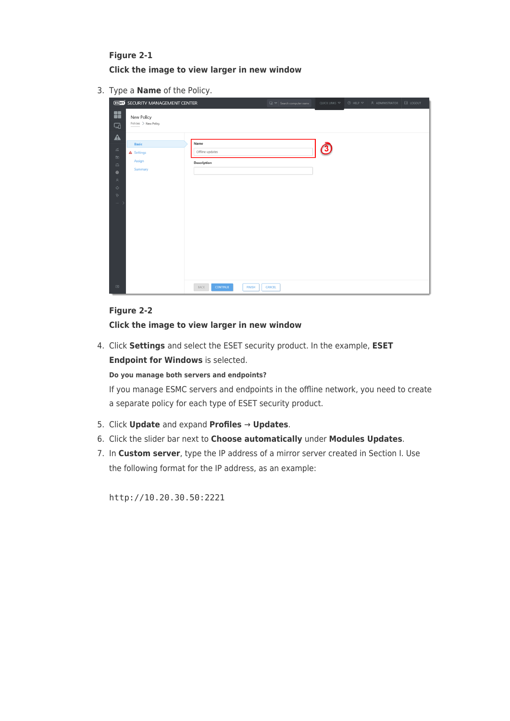# **Figure 2-1 Click the image to view larger in new window**

3. Type a **Name** of the Policy.

|                                                                                                                                                                     | <b>(eser)</b> SECURITY MANAGEMENT CENTER        |                                          | $\Box$ $\sigma$ Search computer name | QUICK LINKS $\blacktriangledown$ | $@$ HELP $~\nabla$ | A ADMINISTRATOR | $\boxdot$ LOGOUT |
|---------------------------------------------------------------------------------------------------------------------------------------------------------------------|-------------------------------------------------|------------------------------------------|--------------------------------------|----------------------------------|--------------------|-----------------|------------------|
| H<br>$\Box$                                                                                                                                                         | New Policy<br>Policies > New Policy             |                                          |                                      |                                  |                    |                 |                  |
| $\blacktriangle$<br>$\widetilde{\rm m}$<br>$\boxdot$<br>$\mathord{\unlhd}$<br>$\circledcirc$<br>$\mathcal{R}$<br>$\hat{\mathbb{Q}}$<br>$\mathbb{V}^*$<br>$\cdots$ > | <b>Basic</b><br>A Settings<br>Assign<br>Summary | Name<br>Offline updates<br>Description   |                                      | ලු                               |                    |                 |                  |
| $\boxdot$                                                                                                                                                           |                                                 | <b>CONTINUE</b><br>BACK<br><b>FINISH</b> | CANCEL                               |                                  |                    |                 |                  |

# **Figure 2-2**

#### **Click the image to view larger in new window**

4. Click **Settings** and select the ESET security product. In the example, **ESET Endpoint for Windows** is selected.

**Do you manage both servers and endpoints?**

If you manage ESMC servers and endpoints in the offline network, you need to create a separate policy for each type of ESET security product.

- 5. Click **Update** and expand **Profiles** → **Updates**.
- 6. Click the slider bar next to **Choose automatically** under **Modules Updates**.
- 7. In **Custom server**, type the IP address of a mirror server created in Section I. Use the following format for the IP address, as an example:

http://10.20.30.50:2221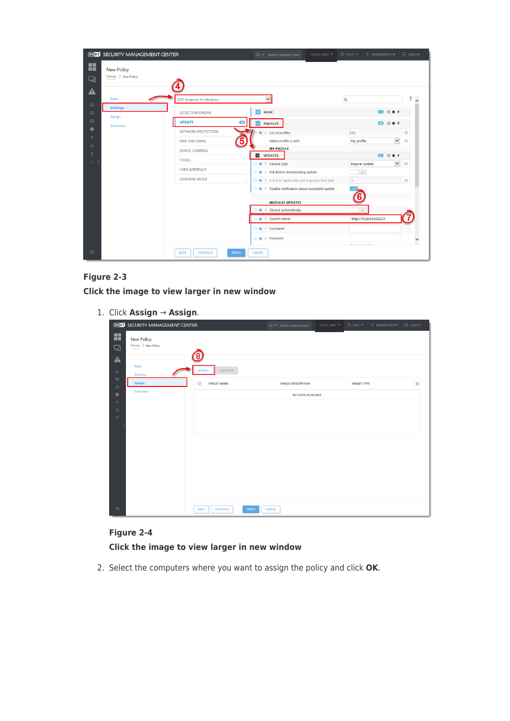|                           | (eser) SECURITY MANAGEMENT CENTER   |                                                 | QUICK LINKS $\triangledown$<br>$\Box$ $\sigma$ Search computer name                                                                | $\circledcirc$ HELP $\circledcirc$<br>A ADMINISTRATOR | B LOGOUT                |
|---------------------------|-------------------------------------|-------------------------------------------------|------------------------------------------------------------------------------------------------------------------------------------|-------------------------------------------------------|-------------------------|
| x<br>ط                    | New Policy<br>Policies > New Policy |                                                 |                                                                                                                                    |                                                       |                         |
| ◭<br>$\widetilde{\rm{m}}$ | <b>Basic</b>                        | <b>ESET Endpoint for Windows</b>                | $\overline{\mathsf{v}}$                                                                                                            | $\hbox{\tt Q}$                                        | ?                       |
| $\boxdot$                 | <b>Settings</b><br>Assign           | DETECTION ENGINE                                | <b>BASIC</b><br>$+$                                                                                                                | Œ<br>0.04                                             |                         |
| $\mathbf{r}$              | Summary                             | <b>UPDATE</b><br>39                             | <b>PROFILES</b>                                                                                                                    | 0.04<br>$\bullet$                                     |                         |
| ◎                         |                                     | NETWORK PROTECTION                              | $\frac{1}{2}$ List of profiles<br>٠                                                                                                | Edit                                                  | $\odot$                 |
| $\lambda$<br>Ŵ.           |                                     | 5<br>WEB AND EMAIL                              | Select profile to edit                                                                                                             | My profile                                            | $\checkmark$<br>$\circ$ |
| Ÿ.                        |                                     | <b>DEVICE CONTROL</b>                           | <b>MY PROFILE</b>                                                                                                                  |                                                       |                         |
| $\cdots$ )                |                                     | <b>TOOLS</b>                                    | UPDATES                                                                                                                            | <b>60 0 0 4</b>                                       |                         |
|                           |                                     | <b>USER INTERFACE</b>                           | $\bigcirc$ $\bullet$ $\neq$ Update type                                                                                            | Regular update                                        | $\checkmark$<br>$\odot$ |
|                           |                                     | <b>OVERRIDE MODE</b>                            | $\circledcirc$ $\bullet$ Ask before downloading update<br>$\circ$ $\bullet$ $\neq$ Ask if an update file size is greater than (kB) | $_\mathrm{x}$<br>$\circ$                              | $\circ$                 |
|                           |                                     |                                                 | $\circledcirc \bullet \neq$ Disable notification about successful update                                                           |                                                       |                         |
|                           |                                     |                                                 |                                                                                                                                    | 6                                                     |                         |
|                           |                                     |                                                 | <b>MODULES UPDATES</b>                                                                                                             |                                                       |                         |
|                           |                                     |                                                 | $\neq$ Choose automatically                                                                                                        | $\times$                                              |                         |
|                           |                                     |                                                 | $\bigcirc$ $\bullet$ $\neq$ Custom server                                                                                          | http://10.20.30.50:2221                               |                         |
|                           |                                     |                                                 | $\circ$ $\bullet$ $\neq$ Username                                                                                                  |                                                       |                         |
|                           |                                     |                                                 | $\bigcirc$ $\bullet$ $\neq$ Password                                                                                               |                                                       |                         |
| $\Box$                    |                                     | <b>BACK</b><br><b>FINISH</b><br><b>CONTINUE</b> | CANCEL                                                                                                                             | Chairmanniae                                          |                         |

# **Figure 2-3**

**Click the image to view larger in new window**

| 1. Click Assign $\rightarrow$ Assign.                             |                                |                                      |                                                        |                                     |  |  |  |
|-------------------------------------------------------------------|--------------------------------|--------------------------------------|--------------------------------------------------------|-------------------------------------|--|--|--|
| <b>(eser) SECURITY MANAGEMENT CENTER</b>                          |                                | $\Box$ $\sigma$ Search computer name | $@$ HELP $~\nabla$<br>QUICK LINKS $\blacktriangledown$ | $\boxdot$ LOGOUT<br>A ADMINISTRATOR |  |  |  |
| H<br>New Policy<br>Policies > New Policy<br>ط<br>$\blacktriangle$ |                                |                                      |                                                        |                                     |  |  |  |
| Basic<br>$\frac{\omega^{\prime}}{10M}$<br><b>Settings</b>         | UNASSIGN<br>ASSIGN             |                                      |                                                        |                                     |  |  |  |
| $\boxdot$<br><b>Assign</b><br>$\mathop{\boxdot}\limits$           | $\Box$<br><b>TARGET NAME</b>   | <b>TARGET DESCRIPTION</b>            | <b>TARGET TYPE</b>                                     | O                                   |  |  |  |
| Summary<br><b>©</b>                                               |                                | NO DATA AVAILABLE                    |                                                        |                                     |  |  |  |
| $\lambda$<br>ŵ                                                    |                                |                                      |                                                        |                                     |  |  |  |
| $q_{\rm r}$                                                       |                                |                                      |                                                        |                                     |  |  |  |
| $\sim$ 100 $\sim$                                                 |                                |                                      |                                                        |                                     |  |  |  |
|                                                                   |                                |                                      |                                                        |                                     |  |  |  |
|                                                                   |                                |                                      |                                                        |                                     |  |  |  |
|                                                                   |                                |                                      |                                                        |                                     |  |  |  |
|                                                                   |                                |                                      |                                                        |                                     |  |  |  |
|                                                                   |                                |                                      |                                                        |                                     |  |  |  |
|                                                                   |                                |                                      |                                                        |                                     |  |  |  |
| $\boxdot$                                                         | <b>BACK</b><br><b>CONTINUE</b> | <b>FINISH</b><br>CANCEL              |                                                        |                                     |  |  |  |

# **Figure 2-4**

# **Click the image to view larger in new window**

2. Select the computers where you want to assign the policy and click **OK**.